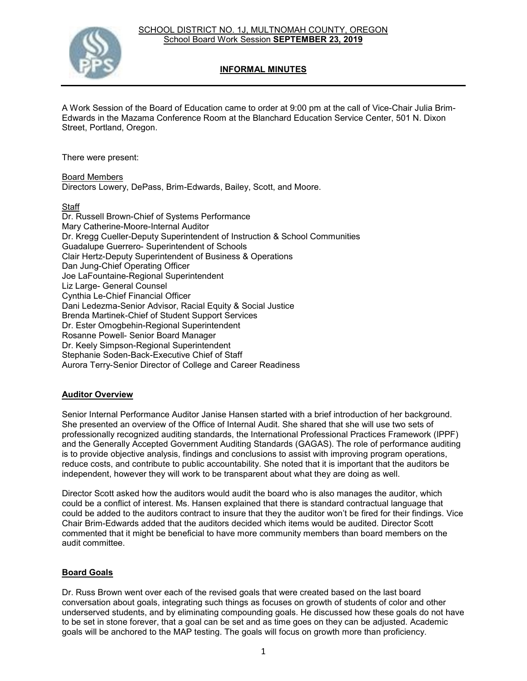

# **INFORMAL MINUTES**

A Work Session of the Board of Education came to order at 9:00 pm at the call of Vice-Chair Julia Brim-Edwards in the Mazama Conference Room at the Blanchard Education Service Center, 501 N. Dixon Street, Portland, Oregon.

There were present:

Board Members Directors Lowery, DePass, Brim-Edwards, Bailey, Scott, and Moore.

#### **Staff**

Dr. Russell Brown-Chief of Systems Performance Mary Catherine-Moore-Internal Auditor Dr. Kregg Cueller-Deputy Superintendent of Instruction & School Communities Guadalupe Guerrero- Superintendent of Schools Clair Hertz-Deputy Superintendent of Business & Operations Dan Jung-Chief Operating Officer Joe LaFountaine-Regional Superintendent Liz Large- General Counsel Cynthia Le-Chief Financial Officer Dani Ledezma-Senior Advisor, Racial Equity & Social Justice Brenda Martinek-Chief of Student Support Services Dr. Ester Omogbehin-Regional Superintendent Rosanne Powell- Senior Board Manager Dr. Keely Simpson-Regional Superintendent Stephanie Soden-Back-Executive Chief of Staff Aurora Terry-Senior Director of College and Career Readiness

## **Auditor Overview**

Senior Internal Performance Auditor Janise Hansen started with a brief introduction of her background. She presented an overview of the Office of Internal Audit. She shared that she will use two sets of professionally recognized auditing standards, the International Professional Practices Framework (IPPF) and the Generally Accepted Government Auditing Standards (GAGAS). The role of performance auditing is to provide objective analysis, findings and conclusions to assist with improving program operations, reduce costs, and contribute to public accountability. She noted that it is important that the auditors be independent, however they will work to be transparent about what they are doing as well.

Director Scott asked how the auditors would audit the board who is also manages the auditor, which could be a conflict of interest. Ms. Hansen explained that there is standard contractual language that could be added to the auditors contract to insure that they the auditor won't be fired for their findings. Vice Chair Brim-Edwards added that the auditors decided which items would be audited. Director Scott commented that it might be beneficial to have more community members than board members on the audit committee.

## **Board Goals**

Dr. Russ Brown went over each of the revised goals that were created based on the last board conversation about goals, integrating such things as focuses on growth of students of color and other underserved students, and by eliminating compounding goals. He discussed how these goals do not have to be set in stone forever, that a goal can be set and as time goes on they can be adjusted. Academic goals will be anchored to the MAP testing. The goals will focus on growth more than proficiency.